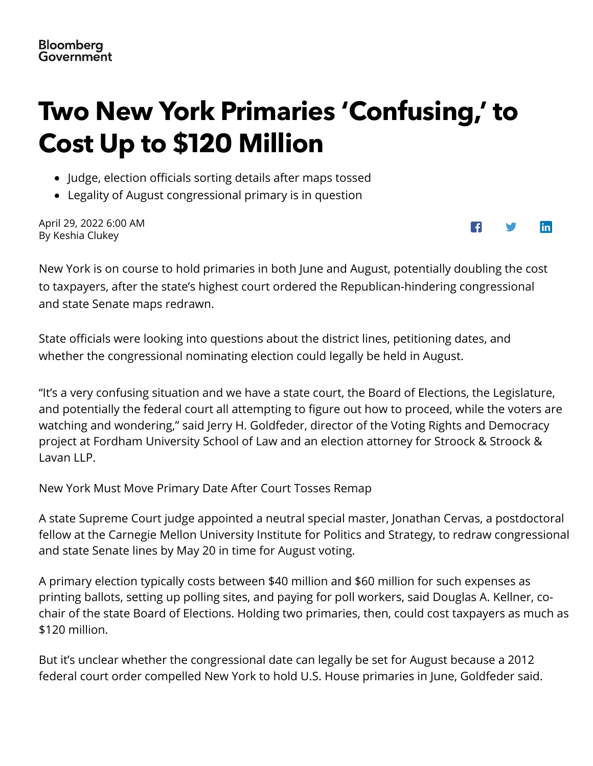## <span id="page-0-0"></span>**Two New York Primaries 'Confusing,' to Cost Up to \$120 Million**

- Judge, election officials sorting details after maps tossed
- Legality of August congressional primary is in question

April 29, 2022 6:00 AM By Keshia Clukey



New York is on co[urse to hold primaries in both June and August, potentially doubling the cost](https://about.bgov.com/contact/) to taxpayers, after the state's highest court ordered the Republican-hindering congressional and state Senate maps redrawn.

State officials w[ere looking into questions a](https://about.bgov.com/request-a-demo-options/)bout the district lines, petitioning dates, and whether the congressional nominating election could legally be held in August.

"It's a very confusing situation and we hav[e a state court, the Board of](https://www.bgov.com/auth/sign_in?mpam-page=MPAM-blog-post&tactic-page=tactic-blog-post) Elections, the Legislature, and potentially the federal court all attempting to figure out how to proceed, while the voters are watching and wondering," said Jerry H. Goldfeder, director of the Voting Rights and Democracy project at Fordham University School of Law and an election attorney for Stroock & Stroock & Lavan LLP.

New York Must Move Primary Date After Court Tosses Remap

A state Supreme Court judge appointed a neutral special master, Jonathan Cervas, a postdoctoral fellow at the Carnegie Mellon University Institute for Politics and Strategy, to redraw congressional and state Senate lines by May 20 in time for August voting.

A primary election typically costs between \$40 million and \$60 million for such [expe](https://www.facebook.com/sharer/sharer.php?u=https%3A%2F%2Fabout.bgov.com%2Fnews%2Ftwo-new-york-primaries-confusing-to-cost-up-to-120-million%2F)n[ses a](https://twitter.com/intent/tweet?url=https%3A%2F%2Fabout.bgov.com%2Fnews%2Ftwo-new-york-primaries-confusing-to-cost-up-to-120-million%2F&via=bloomberggov)s printing ballots, setting up polling sites, and paying for poll workers, said Douglas A. Kellner, cochair of the state Board of Elections. Holding two primaries, then, could cost taxpayers as much as \$120 million.

But it's unclear whether the congressional date can legally be set for August because a 2012 federal court order compelled New York to hold U.S. House primaries in June, Goldfed[er said.](#page-0-0)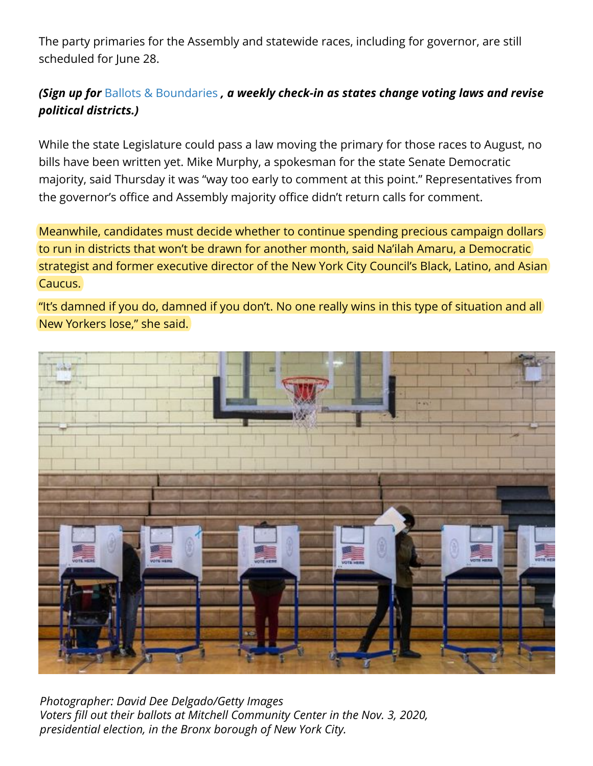The party primaries for the Assembly and statewide races, including for governor, are still scheduled for June 28.

## *(Sign up for* [Ballots & Boundaries](https://about.bgov.com/subscribe-ballots-boundaries/) *, a weekly check-in as states change voting laws and revise political districts.)*

While the state Legislature could pass a law moving the primary for those races to August, no bills have been written yet. Mike Murphy, a spokesman for the state Senate Democratic majority, said Thursday it was "way too early to comment at this point." Representatives from the governor's office and Assembly majority office didn't return calls for comment.

Meanwhile, candidates must decide whether to continue spending precious campaign dollars to run in districts that won't be drawn for another month, said Na'ilah Amaru, a Democratic strategist and former executive director of the New York City Council's Black, Latino, and Asian Caucus.

"It's damned if you do, damned if you don't. No one really wins in this type of situation and all New Yorkers lose," she said.



*Photographer: David Dee Delgado/Getty Images Voters fill out their ballots at Mitchell Community Center in the Nov. 3, 2020, presidential election, in the Bronx borough of New York City.*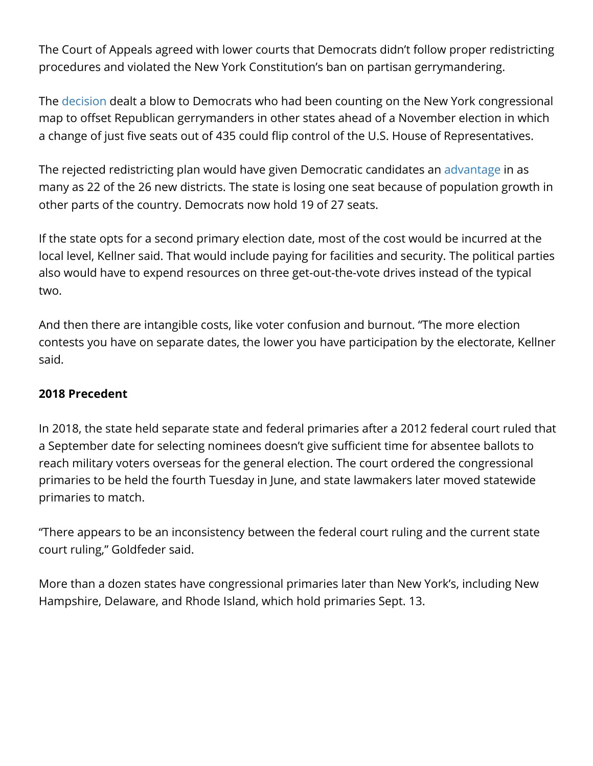The Court of Appeals agreed with lower courts that Democrats didn't follow proper redistricting procedures and violated the New York Constitution's ban on partisan gerrymandering.

The [decision](https://www.nycourts.gov/ctapps/Decisions/2022/Apr22/60opn22-Decision.pdf) dealt a blow to Democrats who had been counting on the New York congressional map to offset Republican gerrymanders in other states ahead of a November election in which a change of just five seats out of 435 could flip control of the U.S. House of Representatives.

The rejected redistricting plan would have given Democratic candidates an [advantage](https://www.bgov.com/core/news_articles/R6JWT4T1UM0W) in as many as 22 of the 26 new districts. The state is losing one seat because of population growth in other parts of the country. Democrats now hold 19 of 27 seats.

If the state opts for a second primary election date, most of the cost would be incurred at the local level, Kellner said. That would include paying for facilities and security. The political parties also would have to expend resources on three get-out-the-vote drives instead of the typical two.

And then there are intangible costs, like voter confusion and burnout. "The more election contests you have on separate dates, the lower you have participation by the electorate, Kellner said.

## **2018 Precedent**

In 2018, the state held separate state and federal primaries after a 2012 federal court ruled that a September date for selecting nominees doesn't give sufficient time for absentee ballots to reach military voters overseas for the general election. The court ordered the congressional primaries to be held the fourth Tuesday in June, and state lawmakers later moved statewide primaries to match.

"There appears to be an inconsistency between the federal court ruling and the current state court ruling," Goldfeder said.

More than a dozen states have congressional primaries later than New York's, including New Hampshire, Delaware, and Rhode Island, which hold primaries Sept. 13.